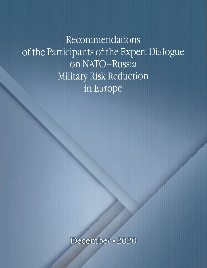Recommendations of the Participants of the Expert Dialogue on NATO-Russia Military Risk Reduction in Europe

December · 2020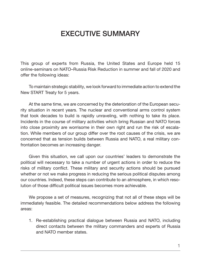# EXECUTIVE SUMMARY

This group of experts from Russia, the United States and Europe held 15 online-seminars on NATO–Russia Risk Reduction in summer and fall of 2020 and offer the following ideas:

To maintain strategic stability, we look forward to immediate action to extend the New START Treaty for 5 years.

At the same time, we are concerned by the deterioration of the European security situation in recent years. The nuclear and conventional arms control system that took decades to build is rapidly unraveling, with nothing to take its place. Incidents in the course of military activities which bring Russian and NATO forces into close proximity are worrisome in their own right and run the risk of escalation. While members of our group differ over the root causes of the crisis, we are concerned that as tension builds between Russia and NATO, a real military confrontation becomes an increasing danger.

Given this situation, we call upon our countries' leaders to demonstrate the political will necessary to take a number of urgent actions in order to reduce the risks of military conflict. These military and security actions should be pursued whether or not we make progress in reducing the serious political disputes among our countries. Indeed, these steps can contribute to an atmosphere, in which resolution of those difficult political issues becomes more achievable.

We propose a set of measures, recognizing that not all of these steps will be immediately feasible. The detailed recommendations below address the following areas:

1. Re-establishing practical dialogue between Russia and NATO, including direct contacts between the military commanders and experts of Russia and NATO member states.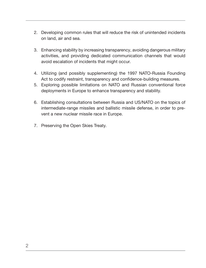- 2. Developing common rules that will reduce the risk of unintended incidents on land, air and sea.
- 3. Enhancing stability by increasing transparency, avoiding dangerous military activities, and providing dedicated communication channels that would avoid escalation of incidents that might occur.
- 4. Utilizing (and possibly supplementing) the 1997 NATO-Russia Founding Act to codify restraint, transparency and confidence-building measures.
- 5. Exploring possible limitations on NATO and Russian conventional force deployments in Europe to enhance transparency and stability.
- 6. Establishing consultations between Russia and US/NATO on the topics of intermediate-range missiles and ballistic missile defense, in order to prevent a new nuclear missile race in Europe.
- 7. Preserving the Open Skies Treaty.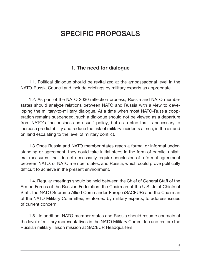# SPECIFIC PROPOSALS

### 1. The need for dialogue

1.1. Political dialogue should be revitalized at the ambassadorial level in the NATO-Russia Council and include briefings by military experts as appropriate.

1.2. As part of the NATO 2030 reflection process, Russia and NATO member states should analyze relations between NATO and Russia with a view to developing the military-to-military dialogue. At a time when most NATO-Russia cooperation remains suspended, such a dialogue should not be viewed as a departure from NATO's "no business as usual" policy, but as a step that is necessary to increase predictability and reduce the risk of military incidents at sea, in the air and on land escalating to the level of military conflict.

1.3 Once Russia and NATO member states reach a formal or informal understanding or agreement, they could take initial steps in the form of parallel unilateral measures that do not necessarily require conclusion of a formal agreement between NATO, or NATO member states, and Russia, which could prove politically difficult to achieve in the present environment.

1.4. Regular meetings should be held between the Chief of General Staff of the Armed Forces of the Russian Federation, the Chairman of the U.S. Joint Chiefs of Staff, the NATO Supreme Allied Commander Europe (SACEUR) and the Chairman of the NATO Military Committee, reinforced by military experts, to address issues of current concern.

1.5. In addition, NATO member states and Russia should resume contacts at the level of military representatives in the NATO Military Committee and restore the Russian military liaison mission at SACEUR Headquarters.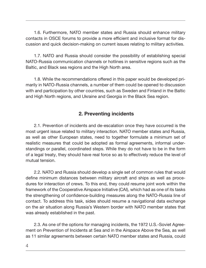1.6. Furthermore, NATO member states and Russia should enhance military contacts in OSCE forums to provide a more efficient and inclusive format for discussion and quick decision-making on current issues relating to military activities.

1.7. NATO and Russia should consider the possibility of establishing special NATO-Russia communication channels or hotlines in sensitive regions such as the Baltic, and Black sea regions and the High North area.

1.8. While the recommendations offered in this paper would be developed primarily in NATO-Russia channels, a number of them could be opened to discussion with and participation by other countries, such as Sweden and Finland in the Baltic and High North regions, and Ukraine and Georgia in the Black Sea region.

### 2. Preventing incidents

2.1. Prevention of incidents and de-escalation once they have occurred is the most urgent issue related to military interaction. NATO member states and Russia, as well as other European states, need to together formulate a minimum set of realistic measures that could be adopted as formal agreements, informal understandings or parallel, coordinated steps. While they do not have to be in the form of a legal treaty, they should have real force so as to effectively reduce the level of mutual tension.

2.2. NATO and Russia should develop a single set of common rules that would define minimum distances between military aircraft and ships as well as procedures for interaction of crews. To this end, they could resume joint work within the framework of the Cooperative Airspace Initiative (CAI), which had as one of its tasks the strengthening of confidence-building measures along the NATO-Russia line of contact. To address this task, sides should resume a navigational data exchange on the air situation along Russia's Western border with NATO member states that was already established in the past.

2.3. As one of the options for managing incidents, the 1972 U.S.-Soviet Agreement on Prevention of Incidents at Sea and in the Airspace Above the Sea, as well as 11 similar agreements between certain NATO member states and Russia, could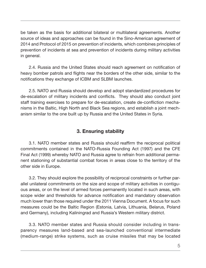be taken as the basis for additional bilateral or multilateral agreements. Another source of ideas and approaches can be found in the Sino-American agreement of 2014 and Protocol of 2015 on prevention of incidents, which combines principles of prevention of incidents at sea and prevention of incidents during military activities in general.

2.4. Russia and the United States should reach agreement on notification of heavy bomber patrols and flights near the borders of the other side, similar to the notifications they exchange of ICBM and SLBM launches.

2.5. NATO and Russia should develop and adopt standardized procedures for de-escalation of military incidents and conflicts. They should also conduct joint staff training exercises to prepare for de-escalation, create de-confliction mechanisms in the Baltic, High North and Black Sea regions, and establish a joint mechanism similar to the one built up by Russia and the United States in Syria.

## 3. Ensuring stability

3.1. NATO member states and Russia should reaffirm the reciprocal political commitments contained in the NATO-Russia Founding Act (1997) and the CFE Final Act (1999) whereby NATO and Russia agree to refrain from additional permanent stationing of substantial combat forces in areas close to the territory of the other side in Europe.

3.2. They should explore the possibility of reciprocal constraints or further parallel unilateral commitments on the size and scope of military activities in contiguous areas, or on the level of armed forces permanently located in such areas, with scope wider and thresholds for advance notification and mandatory observation much lower than those required under the 2011 Vienna Document. A focus for such measures could be the Baltic Region (Estonia, Latvia, Lithuania, Belarus, Poland and Germany), including Kaliningrad and Russia's Western military district.

3.3. NATO member states and Russia should consider including in transparency measures land-based and sea-launched conventional intermediate (medium-range) strike systems, such as cruise missiles that may be located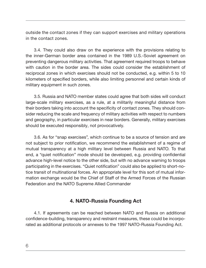outside the contact zones if they can support exercises and military operations in the contact zones.

3.4. They could also draw on the experience with the provisions relating to the inner-German border area contained in the 1989 U.S.-Soviet agreement on preventing dangerous military activities. That agreement required troops to behave with caution in the border area. The sides could consider the establishment of reciprocal zones in which exercises should not be conducted, e.g. within 5 to 10 kilometers of specified borders, while also limiting personnel and certain kinds of military equipment in such zones.

3.5. Russia and NATO member states could agree that both sides will conduct large-scale military exercises, as a rule, at a militarily meaningful distance from their borders taking into account the specificity of contact zones. They should consider reducing the scale and frequency of military activities with respect to numbers and geography, in particular exercises in near borders. Generally, military exercises should be executed responsibly, not provocatively.

3.6. As for "snap exercises", which continue to be a source of tension and are not subject to prior notification, we recommend the establishment of a regime of mutual transparency at a high military level between Russia and NATO. To that end, a "quiet notification" mode should be developed, e.g. providing confidential advance high-level notice to the other side, but with no advance warning to troops participating in the exercises. "Quiet notification" could also be applied to short-notice transit of multinational forces. An appropriate level for this sort of mutual information exchange would be the Chief of Staff of the Armed Forces of the Russian Federation and the NATO Supreme Allied Commander

### 4. NATO-Russia Founding Act

4.1. If agreements can be reached between NATO and Russia on additional confidence-building, transparency and restraint measures, these could be incorporated as additional protocols or annexes to the 1997 NATO-Russia Founding Act.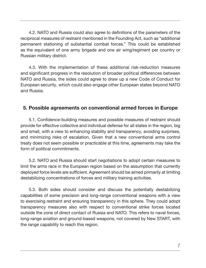4.2. NATO and Russia could also agree to definitions of the parameters of the reciprocal measures of restraint mentioned in the Founding Act, such as "additional permanent stationing of substantial combat forces." This could be established as the equivalent of one army brigade and one air wing/regiment per country or Russian military district.

4.3. With the implementation of these additional risk-reduction measures and significant progress in the resolution of broader political differences between NATO and Russia, the sides could agree to draw up a new Code of Conduct for European security, which could also engage other European states beyond NATO and Russia.

### 5. Possible agreements on conventional armed forces in Europe

5.1. Confidence-building measures and possible measures of restraint should provide for effective collective and individual defense for all states in the region, big and small, with a view to enhancing stability and transparency, avoiding surprises, and minimizing risks of escalation. Given that a new conventional arms control treaty does not seem possible or practicable at this time, agreements may take the form of political commitments.

5.2. NATO and Russia should start negotiations to adopt certain measures to limit the arms race in the European region based on the assumption that currently deployed force levels are sufficient. Agreement should be aimed primarily at limiting destabilizing concentrations of forces and military training activities.

5.3. Both sides should consider and discuss the potentially destabilizing capabilities of some precision and long-range conventional weapons with a view to exercising restraint and ensuring transparency in this sphere. They could adopt transparency measures also with respect to conventional strike forces located outside the zone of direct contact of Russia and NATO. This refers to naval forces, long-range aviation and ground-based weapons, not covered by New START, with the range capability to reach this region.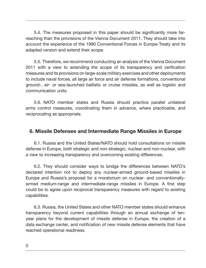5.4. The measures proposed in this paper should be significantly more farreaching than the provisions of the Vienna Document 2011. They should take into account the experience of the 1990 Conventional Forces in Europe Treaty and its adapted version and extend their scope.

5.5. Therefore, we recommend conducting an analysis of the Vienna Document 2011 with a view to extending the scope of its transparency and verification measures and its provisions on large-scale military exercises and other deployments to include naval forces, all large air force and air defense formations, conventional ground-, air- or sea-launched ballistic or cruise missiles, as well as logistic and communication units.

5.6. NATO member states and Russia should practice parallel unilateral arms control measures, coordinating them in advance, where practicable, and reciprocating as appropriate.

#### 6. Missile Defenses and Intermediate Range Missiles in Europe

6.1. Russia and the United States/NATO should hold consultations on missile defense in Europe, both strategic and non-strategic, nuclear and non-nuclear, with a view to increasing transparency and overcoming existing differences.

6.2. They should consider ways to bridge the differences between NATO's declared intention not to deploy any nuclear-armed ground-based missiles in Europe and Russia's proposal for a moratorium on nuclear- and conventionallyarmed medium-range and intermediate-range missiles in Europe. A first step could be to agree upon reciprocal transparency measures with regard to existing capabilities.

6.3. Russia, the United States and other NATO member states should enhance transparency beyond current capabilities through an annual exchange of tenyear plans for the development of missile defense in Europe, the creation of a data exchange center, and notification of new missile defense elements that have reached operational readiness.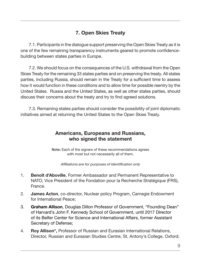# 7. Open Skies Treaty

7.1. Participants in the dialogue support preserving the Open Skies Treaty as it is one of the few remaining transparency instruments geared to promote confidencebuilding between states parties in Europe.

7.2. We should focus on the consequences of the U.S. withdrawal from the Open Skies Treaty for the remaining 33 states parties and on preserving the treaty. All states parties, including Russia, should remain in the Treaty for a sufficient time to assess how it would function in these conditions and to allow time for possible reentry by the United States. Russia and the United States, as well as other states parties, should discuss their concerns about the treaty and try to find agreed solutions.

7.3. Remaining states parties should consider the possibility of joint diplomatic initiatives aimed at returning the United States to the Open Skies Treaty.

### Americans, Europeans and Russians, who signed the statement

Note: Each of the signers of these recommendations agrees with most but not necessarily all of them.

Affiliations are for purposes of identification only

- 1. Benoît d'Aboville, Former Ambassador and Permanent Representative to NATO, Vice President of the Fondation pour la Recherche Stratégique (FRS), France.
- 2. James Acton, co-director, Nuclear policy Program, Carnegie Endowment for International Peace;
- 3. Graham Allison, Douglas Dillon Professor of Government, "Founding Dean" of Harvard's John F. Kennedy School of Government, until 2017 Director of its Belfer Center for Science and International Affairs, former Assistant Secretary of Defense;
- 4. Roy Allison\*, Professor of Russian and Eurasian International Relations, Director, Russian and Eurasian Studies Centre, St. Antony's College, Oxford;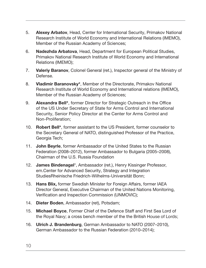- 5. Alexey Arbatov, Head, Center for International Security, Primakov National Research Institute of World Economy and International Relations (IMEMO), Member of the Russian Academy of Sciences;
- 6. Nadezhda Arbatova, Head, Department for European Political Studies, Primakov National Research Institute of World Economy and International Relations (IMEMO);
- 7. Valeriy Baranov, Colonel General (ret.), Inspector general of the Ministry of Defense.
- 8. Vladimir Baranovsky\*, Member of the Directorate, Primakov National Research Institute of World Economy and International relations (IMEMO), Member of the Russian Academy of Sciences;
- 9. Alexandra Bell<sup>\*</sup>, former Director for Strategic Outreach in the Office of the US Under Secretary of State for Arms Control and International Security, Senior Policy Director at the Center for Arms Control and Non-Proliferation;
- 10. Robert Bell\*, former assistant to the US President, former counselor to the Secretary General of NATO, distinguished Professor of the Practice, Georgia Tech;
- 11. **John Beyrle**, former Ambassador of the United States to the Russian Federation (2008–2012), former Ambassador to Bulgaria (2005–2008), Chairman of the U.S. Russia Foundation
- 12. James Bindenagel\*, Ambassador (ret.), Henry Kissinger Professor, em.Center for Advanced Security, Strategy and Integration StudiesRheinische Friedrich-Wilhelms-Universität Bonn;
- 13. Hans Blix, former Swedish Minister for Foreign Affairs, former IAEA Director General, Executive Chairman of the United Nations Monitoring, Verification and Inspection Commission (UNMOVIC);
- 14. Dieter Boden, Ambassador (ret), Potsdam;
- 15. Michael Boyce, Former Chief of the Defence Staff and First Sea Lord of the Royal Navy; a cross bench member of the the British House of Lords;
- 16. Ulrich J. Brandenburg, German Ambassador to NATO (2007–2010), German Ambassador to the Russian Federation (2010–2014);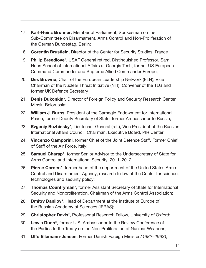- 17. Karl-Heinz Brunner, Member of Parliament, Spokesman on the Sub-Committee on Disarmament, Arms Control and Non-Proliferation of the German Bundestag, Berlin;
- 18. Corentin Brustlein, Director of the Center for Security Studies, France
- 19. Philip Breedlove\*, USAF General retired. Distinguished Professor, Sam Nunn School of International Affairs at Georgia Tech, former US European Command Commander and Supreme Allied Commander Europe;
- 20. Des Browne, Chair of the European Leadership Network (ELN), Vice Chairman of the Nuclear Threat Initiative (NTI), Convener of the TLG and former UK Defence Secretary
- 21. Denis Bukonkin<sup>\*</sup>, Director of Foreign Policy and Security Research Center, Minsk; Belorussia;
- 22. William J. Burns, President of the Carnegie Endowment for International Peace, former Deputy Secretary of State, former Ambassador to Russia;
- 23. Evgeniy Buzhinsky\*, Lieutenant General (ret.), Vice President of the Russian International Affairs Council; Chairman, Executive Board, PIR Center;
- 24. Vincenzo Camporini, former Chief of the Joint Defence Staff, Former Chief of Staff of the Air Force, Italy;
- 25. Samuel Charap<sup>\*</sup>, former Senior Advisor to the Undersecretary of State for Arms Control and International Security, 2011–2012;
- 26. Pierce Corden<sup>\*</sup>, former head of the department of the United States Arms Control and Disarmament Agency, research fellow at the Center for science, technologies and security policy;
- 27. Thomas Countryman<sup>\*</sup>, former Assistant Secretary of State for International Security and Nonproliferation, Chairman of the Arms Control Association;
- 28. Dmitry Danilov<sup>\*</sup>, Head of Department at the Institute of Europe of the Russian Academy of Sciences (IERAS);
- 29. Christopher Davis<sup>\*</sup>, Professorial Research Fellow, University of Oxford;
- 30. Lewis Dunn\*, former U.S. Ambassador to the Review Conference of the Parties to the Treaty on the Non-Proliferation of Nuclear Weapons;
- 31. Uffe Ellemann-Jensen, Former Danish Foreign Minister (1982-1993);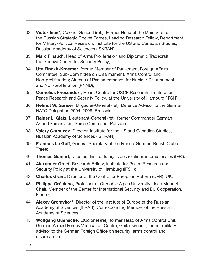- 32. Victor Esin\*, Colonel General (ret.), Former Head of the Main Staff of the Russian Strategic Rocket Forces, Leading Research Fellow, Department for Military-Political Research, Institute for the US and Canadian Studies, Russian Academy of Sciences (ISKRAN);
- 33. Marc Finaud\*, Head of Arms Proliferation and Diplomatic Tradecraft, the Geneva Centre for Security Policy;
- 34. **Ute Finckh-Kraemer**, former Member of Parliament, Foreign Affairs Committee, Sub-Committee on Disarmament, Arms Control and Non-proliferation; Alumna of Parliamentarians for Nuclear Disarmament and Non-proliferation (PNND);
- 35. Cornelius Friesendorf, Head, Centre for OSCE Research, Institute for Peace Research and Security Policy, at the University of Hamburg (IFSH);
- 36. Helmut W. Ganser, Brigadier-General (ret), Defence Advisor to the German NATO Delegation 2004–2008, Brussels;
- 37. Rainer L. Glatz, Lieutenant-General (ret), former Commander German Armed Forces Joint Force Command, Potsdam;
- 38. Valery Garbuzov, Director, Institute for the US and Canadian Studies, Russian Academy of Sciences (ISKRAN);
- 39. Francois Le Goff, General Secretary of the Franco-German-British Club of Three;
- 40. Thomas Gomart, Director, Institut français des relations internationales (IFRI);
- 41. Alexander Graef, Research Fellow, Institute for Peace Research and Security Policy at the University of Hamburg (IFSH);
- 42. Charles Grant, Director of the Centre for European Reform (CER), UK;
- 43. Philippe Gréciano, Professor at Grenoble Alpes University, Jean Monnet Chair, Member of the Center for International Security and EU Cooperation, France;
- 44. Alexey Gromyko\*\*, Director of the Institute of Europe of the Russian Academy of Sciences (IERAS), Corresponding Member of the Russian Academy of Sciences;
- 45. Wolfgang Guensche, LtColonel (ret), former Head of Arms Control Unit, German Armed Forces Verification Centre, Geilenkirchen; former military advisor to the German Foreign Office on security, arms control and disarmament;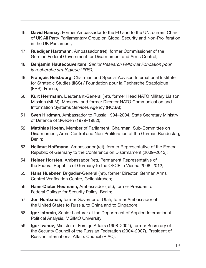- 46. David Hannay, Former Ambassador to the EU and to the UN; current Chair of UK All Party Parliamentary Group on Global Security and Non-Proliferation in the UK Parliament;
- 47. Ruediger Hartmann, Ambassador (ret), former Commissioner of the German Federal Government for Disarmament and Arms Control;
- 48. Benjamin Hautecouverture, Senior Research Fellow at Fondation pour la recherche stratégique (FRS);
- 49. François Heisbourg, Chairman and Special Advisor, International Institute for Strategic Studies (IISS) / Foundation pour la Recherche Stratégique (FRS), France;
- 50. Kurt Herrmann, Lieutenant-General (ret), former Head NATO Military Liaison Mission (MLM), Moscow, and former Director NATO Communication and Information Systems Services Agency (NCSA);
- 51. Sven Hirdman, Ambassador to Russia 1994-2004, State Secretary Ministry of Defence of Sweden (1979–1982);
- 52. Matthias Hoehn, Member of Parliament, Chairman, Sub-Committee on Disarmament, Arms Control and Non-Proliferation of the German Bundestag, Berlin;
- 53. Hellmut Hoffmann, Ambassador (ret), former Representative of the Federal Republic of Germany to the Conference on Disarmament (2009–2013);
- 54. Heiner Horsten, Ambassador (ret), Permanent Representative of the Federal Republic of Germany to the OSCE in Vienna 2008–2012;
- 55. Hans Huebner, Brigadier-General (ret), former Director, German Arms Control Verification Centre, Geilenkirchen;
- 56. Hans-Dieter Heumann, Ambassador (ret.), former President of Federal College for Security Policy, Berlin;
- 57. Jon Huntsman, former Governor of Utah, former Ambassador of the United States to Russia, to China and to Singapore;
- 58. Igor Istomin, Senior Lecturer at the Department of Applied International Political Analysis, MGIMO University;
- 59. Igor Ivanov, Minister of Foreign Affairs (1998-2004), former Secretary of the Security Council of the Russian Federation (2004–2007), President of Russian International Affairs Council (RIAC);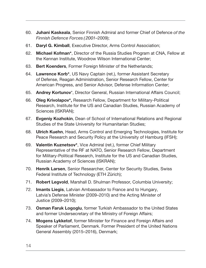- 60. Juhani Kaskeala, Senior Finnish Admiral and former Chief of Defence of the Finnish Defence Forces (2001–2009);
- 61. Daryl G. Kimball, Executive Director, Arms Control Association;
- 62. Michael Kofman\*, Director of the Russia Studies Program at CNA, Fellow at the Kennan Institute, Woodrow Wilson International Center;
- 63. Bert Koenders, Former Foreign Minister of the Netherlands;
- 64. Lawrence Korb<sup>\*</sup>, US Navy Captain (ret.), former Assistant Secretary of Defense, Reagan Administration, Senior Research Fellow, Center for American Progress, and Senior Advisor, Defense Information Center;
- 65. Andrey Kortunov\*, Director General, Russian International Affairs Council;
- 66. Oleg Krivolapov\*, Research Fellow, Department for Military-Political Research, Institute for the US and Canadian Studies, Russian Academy of Sciences (ISKRAN);
- 67. Evgeniy Kozhokin, Dean of School of International Relations and Regional Studies of the State University for Humanitarian Studies;
- 68. **Ulrich Kuehn**, Head, Arms Control and Emerging Technologies, Institute for Peace Research and Security Policy at the University of Hamburg (IFSH);
- 69. Valentin Kuznetsov\*, Vice Admiral (ret.), former Chief Military Representative of the RF at NATO, Senior Research Fellow, Department for Military-Political Research, Institute for the US and Canadian Studies, Russian Academy of Sciences (ISKRAN);
- 70. Henrik Larsen, Senior Researcher, Center for Security Studies, Swiss Federal Institute of Technology (ETH Zürich);
- 71. Robert Legvold, Marshall D. Shulman Professor, Columbia University;
- 72. Imants Liegis, Latvian Ambassador to France and to Hungary, Latvia's Defense Minister (2009–2010) and the Acting Minister of Justice (2009–2010);
- 73. **Osman Faruk Logoglu**, former Turkish Ambassador to the United States and former Undersecretary of the Ministry of Foreign Affairs;
- 74. Mogens Lykketof, former Minister for Finance and Foreign Affairs and Speaker of Parliament, Denmark. Former President of the United Nations General Assembly (2015–2016), Denmark;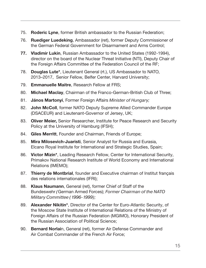- 75. Roderic Lyne, former British ambassador to the Russian Federation;
- 76. Ruediger Luedeking, Ambassador (ret), former Deputy Commissioner of the German Federal Government for Disarmament and Arms Control;
- 77. Vladimir Lukin, Russian Ambassador to the United States (1992-1994), director on the board of the Nuclear Threat Initiative (NTI), Deputy Chair of the Foreign Affairs Committee of the Federation Council of the RF;
- 78. Douglas Lute\*, Lieutenant General (rt.), US Ambassador to NATO, 2013–2017, Senior Fellow, Belfer Center, Harvard University;
- 79. Emmanuelle Maitre, Research Fellow at FRS;
- 80. Michael Maclay, Chairman of the Franco-German-British Club of Three;
- 81. János Martonyi, Former Foreign Affairs Minister of Hungary;
- 82. **John McColl**, former NATO Deputy Supreme Allied Commander Europe (DSACEUR) and Lieutenant-Governor of Jersey, UK;
- 83. Oliver Meier, Senior Researcher, Institute for Peace Research and Security Policy at the University of Hamburg (IFSH);
- 84. Giles Merritt, Founder and Chairman, Friends of Europe;
- 85. Mira Milosevich-Juaristi, Senior Analyst for Russia and Eurasia, Elcano Royal Institute for International and Strategic Studies, Spain;
- 86. Victor Mizin\*, Leading Research Fellow, Center for International Security, Primakov National Research Institute of World Economy and International Relations (IMEMO);
- 87. Thierry de Montbrial, founder and Executive chairman of Institut français des relations internationales (IFRI);
- 88. Klaus Naumann, General (ret), former Chief of Staff of the Bundeswehr (German Armed Forces); Former Chairman of the NATO Military Committee (1996-1999);
- 89. Alexander Nikitin\*, Director of the Center for Euro-Atlantic Security, of the Moscow State Institute of International Relations of the Ministry of Foreign Affairs of the Russian Federation (MGIMO), Honorary President of the Russian Association of Political Science;
- 90. Bernard Norlain, General (ret), former Air Defense Commander and Air Combat Commander of the French Air Force;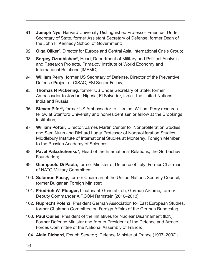- 91. **Joseph Nye**, Harvard University Distinguished Professor Emeritus, Under Secretary of State, former Assistant Secretary of Defense, former Dean of the John F. Kennedy School of Government;
- 92. Olga Oliker\*, Director for Europe and Central Asia, International Crisis Group;
- 93. Sergey Oznobishev\*, Head, Department of Military and Political Analysis and Research Projects, Primakov Institute of World Economy and International Relations (IMEMO);
- 94. William Perry, former US Secretary of Defense, Director of the Preventive Defense Project at CISAC, FSI Senior Fellow;
- 95. Thomas R Pickering, former US Under Secretary of State, former Ambassador to Jordan, Nigeria, El Salvador, Israel, the United Nations, India and Russia;
- 96. Steven Pifer\*, former US Ambassador to Ukraine, William Perry research fellow at Stanford University and nonresident senior fellow at the Brookings Institution;
- 97. William Potter, Director, James Martin Center for Nonproliferation Studies and Sam Nunn and Richard Lugar Professor of Nonproliferation Studies Middlebury Institute of International Studies at Monterey, Foreign Member to the Russian Academy of Sciences;
- 98. Pavel Palazhchenko\*, Head of the International Relations, the Gorbachev Foundation;
- 99. Giampaolo Di Paola, former Minister of Defence of Italy; Former Chairman of NATO Military Committee;
- 100. Solomon Passy, former Chairman of the United Nations Security Council, former Bulgarian Foreign Minister;
- 101. Friedrich W. Ploeger, Lieutenant-General (ret), German Airforce, former Deputy Commander AIRCOM Ramstein (2010–2013);
- 102. **Ruprecht Polenz**, President German Association for East European Studies, former Chairman Committee on Foreign Affairs of the German Bundestag
- 103. Paul Quilès, President of the Initiatives for Nuclear Disarmament (IDN). Former Defence Minister and former President of the Defence and Armed Forces Committee of the National Assembly of France;
- 104. Alain Richard, French Senator; Defence Minister of France (1997–2002);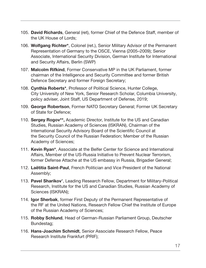- 105. David Richards, General (ret), former Chief of the Defence Staff, member of the UK House of Lords;
- 106. Wolfgang Richter\*, Colonel (ret.), Senior Military Advisor of the Permanent Representation of Germany to the OSCE, Vienna (2005–2009); Senior Associate, International Security Division, German Institute for International and Security Affairs, Berlin (SWP)
- 107. Malcolm Rifkind, Former Conservative MP in the UK Parliament, former chairman of the Intelligence and Security Committee and former British Defence Secretary and former Foreign Secretary;
- 108. Cynthia Roberts\*, Professor of Political Science, Hunter College, City University of New York, Senior Research Scholar, Columbia University, policy adviser, Joint Staff, US Department of Defense, 2019;
- 109. George Robertson, Former NATO Secretary General; Former UK Secretary of State for Defence;
- 110. Sergey Rogov<sup>\*\*</sup>, Academic Director, Institute for the US and Canadian Studies, Russian Academy of Sciences (ISKRAN), Chairman of the International Security Advisory Board of the Scientific Council at the Security Council of the Russian Federation; Member of the Russian Academy of Sciences;
- 111. Kevin Ryan\*, Associate at the Belfer Center for Science and International Affairs, Member of the US-Russia Initiative to Prevent Nuclear Terrorism, former Defense Attache at the US embassy in Russia, Brigadier General;
- 112. Laëtitia Saint-Paul, French Politician and Vice President of the National Assembly;
- 113. Pavel Sharikov\*, Leading Research Fellow, Department for Military-Political Research, Institute for the US and Canadian Studies, Russian Academy of Sciences (ISKRAN);
- 114. **Joon Sherbak**, former First Deputy of the Permanent Representative of the RF at the United Nations, Research Fellow Chief the Institute of Europe of the Russian Academy of Sciences;
- 115. Robby Schlund, Head of German-Russian Parliament Group, Deutscher Bundestag;
- 116. Hans-Joachim Schmidt, Senior Associate Research Fellow, Peace Research Institute Frankfurt (PRIF);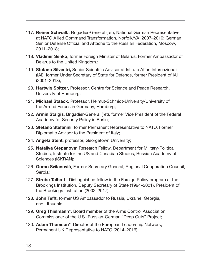- 117. Reiner Schwalb, Brigadier-General (ret), National German Representative at NATO Allied Command Transformation, Norfolk/VA, 2007–2010; German Senior Defense Official and Attaché to the Russian Federation, Moscow, 2011–2018;
- 118. Vladimir Senko, former Foreign Minister of Belarus; Former Ambassador of Belarus to the United Kingdom.;
- 119. Stefano Silvestri, Senior Scientific Advisor at Istituto Affari Internazionali (IAI), former Under Secretary of State for Defence, former President of IAI (2001–2013);
- 120. Hartwig Spitzer, Professor, Centre for Science and Peace Research, University of Hamburg;
- 121. Michael Staack, Professor, Helmut-Schmidt-University/University of the Armed Forces in Germany, Hamburg;
- 122. Armin Staigis, Brigadier-General (ret), former Vice President of the Federal Academy for Security Policy in Berlin;
- 123. Stefano Stefanini, former Permanent Representative to NATO, Former Diplomatic Advisor to the President of Italy;
- 124. Angela Stent, professor, Georgetown University;
- 125. Nataliya Stepanova\* Research Fellow, Department for Military-Political Studies, Institute for the US and Canadian Studies, Russian Academy of Sciences (ISKRAN);
- 126. Goran Svilanović, Former Secretary General, Regional Cooperation Council, Serbia;
- 127. **Strobe Talbott**, Distinguished fellow in the Foreign Policy program at the Brookings Institution, Deputy Secretary of State (1994–2001), President of the Brookings Institution (2002–2017);
- 128. John Tefft, former US Ambassador to Russia, Ukraine, Georgia, and Lithuania
- 129. Greg Thielmann\*, Board member of the Arms Control Association, Commissioner of the U.S.-Russian-German "Deep Cuts" Project;
- 130. Adam Thomson<sup>\*</sup>, Director of the European Leadership Network, Permanent UK Representative to NATO (2014–2016);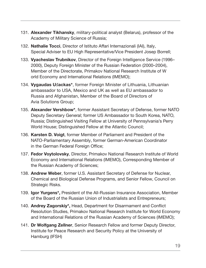- 131. Alexander Tikhansky, military-political analyst (Belarus), professor of the Academy of Military Science of Russia;
- 132. Nathalie Tocci, Director of Istituto Affari Internazionali (IAI), Italy, Special Adviser to EU High Representative/Vice President Josep Borrell;
- 133. Vyacheslav Trubnikov, Director of the Foreign Intelligence Service (1996– 2000), Deputy Foreign Minister of the Russian Federation (2000–2004), Member of the Directorate, Primakov National Research Institute of W orld Economy and International Relations (IMEMO);
- 134. Vygaudas Ušackas\*, former Foreign Minister of Lithuania, Lithuanian ambassador to USA, Mexico and UK as well as EU ambassador to Russia and Afghanistan, Member of the Board of Directors of Avia Solutions Group;
- 135. Alexander Vershbow\*, former Assistant Secretary of Defense, former NATO Deputy Secretary General; former US Ambassador to South Korea, NATO, Russia; Distinguished Visiting Fellow at University of Pennsylvania's Perry World House; Distinguished Fellow at the Atlantic Council;
- 136. Karsten D. Voigt, former Member of Parliament and President of the NATO-Parliamentary Assembly, former German-American Coordinator in the German Federal Foreign Office;
- 137. Fedor Voytolovsky, Director, Primakov National Research Institute of World Economy and International Relations (IMEMO), Corresponding Member of the Russian Academy of Sciences;
- 138. Andrew Weber, former U.S. Assistant Secretary of Defense for Nuclear, Chemical and Biological Defense Programs, and Senior Fellow, Council on Strategic Risks.
- 139. Igor Yurgens\*, President of the All-Russian Insurance Association, Member of the Board of the Russian Union of Industrialists and Entrepreneurs;
- 140. Andrey Zagorskiy\*, Head, Department for Disarmament and Conflict Resolution Studies, Primakov National Research Institute for World Economy and International Relations of the Russian Academy of Sciences (IMEMO);
- 141. Dr Wolfgang Zellner, Senior Research Fellow and former Deputy Director, Institute for Peace Research and Security Policy at the University of Hamburg (IFSH)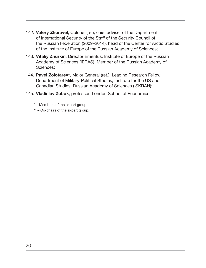- 142. Valery Zhuravel, Colonel (ret), chief adviser of the Department of International Security of the Staff of the Security Council of the Russian Federation (2009–2014), head of the Center for Arctic Studies of the Institute of Europe of the Russian Academy of Sciences;
- 143. Vitaliy Zhurkin, Director Emeritus, Institute of Europe of the Russian Academy of Sciences (IERAS), Member of the Russian Academy of Sciences;
- 144. Pavel Zolotarev\*, Major General (ret.), Leading Research Fellow, Department of Military-Political Studies, Institute for the US and Canadian Studies, Russian Academy of Sciences (ISKRAN);
- 145. Vladislav Zubok, professor, London School of Economics.
	- \* Members of the expert group.
	- \*\* Co-chairs of the expert group.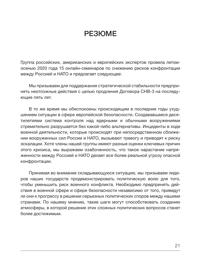# РЕЗЮМЕ

Группа российских, американских и европейских экспертов провела летомосенью 2020 года 15 онлайн-семинаров по снижению рисков конфронтации между Россией и НАТО и предлагает следующее:

Мы призываем для поддержания стратегической стабильности предпринять неотложные действия с целью продления Договора СНВ-3 на последующие пять лет.

В то же время мы обеспокоены происходящим в последние годы ухудшением ситуации в сфере европейской безопасности. Создававшаяся десятилетиями система контроля над ядерными и обычными вооружениями стремительно разрушается без какой-либо альтернативы. Инциденты в ходе военной деятельности, которые происходят при непосредственном сближении вооруженных сил России и НАТО, вызывают тревогу и приводят к риску эскалации. Хотя члены нашей группы имеют разные оценки ключевых причин этого кризиса, мы выражаем озабоченность, что такое нарастание напряженности между Россией и НАТО делает все более реальной угрозу опасной конфронтации.

Принимая во внимание складывающуюся ситуацию, мы призываем лидеров наших государств продемонстрировать политическую волю для того, чтобы уменьшить риск военного конфликта. Необходимо предпринять действия в военной сфере и сфере безопасности независимо от того, приведут ли они к прогрессу в решении серьезных политических споров между нашими странами. По нашему мнению, такие шаги могут способствовать созданию атмосферы, в которой решение этих сложных политических вопросов станет более достижимым.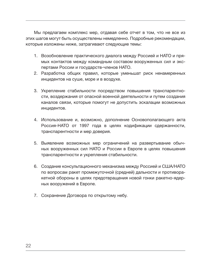Мы предлагаем комплекс мер, отдавая себе отчет в том, что не все из этих шагов могут быть осуществлены немедленно. Подробные рекомендации, которые изложены ниже, затрагивают следующие темы:

- 1. Возобновление практического диалога между Россией и НАТО и прямых контактов между командным составом вооруженных сил и экспертами России и государств-членов НАТО.
- 2. Разработка общих правил, которые уменьшат риск ненамеренных инцидентов на суше, море и в воздухе.
- 3. Укрепление стабильности посредством повышения транспарентности, воздержания от опасной военной деятельности и путем создания каналов связи, которые помогут не допустить эскалации возможных инцидентов.
- 4. Использование и, возможно, дополнение Основополагающего акта Россия-НАТО от 1997 года в целях кодификации сдержанности, транспарентности и мер доверия.
- 5. Выявление возможных мер ограничений на развертывание обычных вооруженных сил НАТО и России в Европе в целях повышения транспарентности и укрепления стабильности.
- 6. Создание консультационного механизма между Россией и США/НАТО по вопросам ракет промежуточной (средней) дальности и противоракетной обороны в целях предотвращения новой гонки ракетно-ядерных вооружений в Европе.
- 7. Сохранение Договора по открытому небу.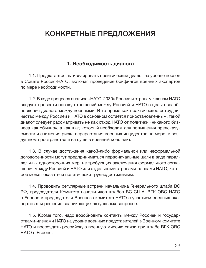# КОНКРЕТНЫЕ ПРЕДЛОЖЕНИЯ

### 1. Необходимость диалога

1.1. Предлагается активизировать политический диалог на уровне послов в Совете Россия-НАТО, включая проведение брифингов военных экспертов по мере необходимости.

1.2. В ходе процесса анализа «НАТО-2030» России и странам-членам НАТО следует провести оценку отношений между Россией и НАТО с целью возобновления диалога между военными. В то время как практическое сотрудничество между Россией и НАТО в основном остается приостановленным, такой диалог следует рассматривать не как отход НАТО от политики «никакого бизнеса как обычно», а как шаг, который необходим для повышения предсказуемости и снижения риска перерастания военных инцидентов на море, в воздушном пространстве и на суше в военный конфликт.

1.3. В случае достижения какой-либо формальной или неформальной договоренности могут предприниматься первоначальные шаги в виде параллельных односторонних мер, не требующих заключения формального соглашения между Россией и НАТО или отдельными странами-членами НАТО, которое может оказаться политически труднодостижимым.

1.4. Проводить регулярные встречи начальника Генерального штаба ВС РФ, председателя Комитета начальников штабов ВС США, ВГК ОВС НАТО в Европе и председателя Военного комитета НАТО с участием военных экспертов для решения возникающих актуальных вопросов.

1.5. Кроме того, надо возобновить контакты между Россией и государствами-членами НАТО на уровне военных представителей в Военном комитете НАТО и воссоздать российскую военную миссию связи при штабе ВГК ОВС НАТО в Европе.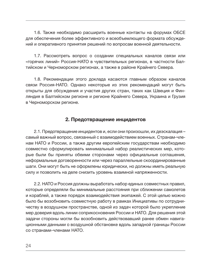1.6. Также необходимо расширить военные контакты на форумах ОБСЕ для обеспечения более эффективного и всеобъемлющего формата обсуждений и оперативного принятия решений по вопросам военной деятельности.

1.7. Рассмотреть вопрос о создании специальных каналов связи или «горячих линий» Россия-НАТО в чувствительных регионах, в частности Балтийском и Черноморском регионах, а также в районе Крайнего Севера.

1.8. Рекомендации этого доклада касаются главным образом каналов связи Россия-НАТО. Однако некоторые из этих рекомендаций могут быть открыты для обсуждения и участия других стран, таких как Швеция и Финляндия в Балтийском регионе и регионе Крайнего Севера, Украина и Грузия в Черноморском регионе.

### 2. Предотвращение инцидентов

2.1. Предотвращение инцидентов и, если они произошли, их деэскалация – самый важный вопрос, связанный с взаимодействием военных. Странам-членам НАТО и России, а также другим европейским государствам необходимо совместно сформулировать минимальный набор реалистических мер, которые были бы приняты обеими сторонами через официальные соглашения, неформальные договоренности или через параллельные скоординированные шаги. Они могут быть не оформлены юридически, но должны иметь реальную силу и позволить на деле снизить уровень взаимной напряженности.

2.2. НАТО и Россия должны выработать набор единых совместных правил, которые определяли бы минимальные расстояния при сближении самолетов и кораблей, а также порядок взаимодействия экипажей. С этой целью можно было бы возобновить совместную работу в рамках Инициативы по сотрудничеству в воздушном пространстве, одной из задач которой было укрепление мер доверия вдоль линии соприкосновения России и НАТО. Для решения этой задачи стороны могли бы возобновить действовавший ранее обмен навигационными данными о воздушной обстановке вдоль западной границы России со странами-членами НАТО.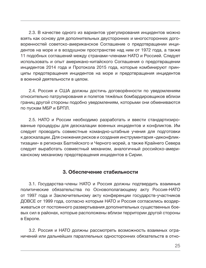2.3. В качестве одного из вариантов урегулирования инцидентов можно взять как основу для дополнительных двусторонних и многосторонних договоренностей советско-американское Соглашение о предотвращении инцидентов на море и в воздушном пространстве над ним от 1972 года, а также 11 подобных соглашений между странами-членами НАТО и Россией. Следует использовать и опыт американо-китайского Соглашения о предотвращении инцидентов 2014 года и Протокола 2015 года, которые комбинируют принципы предотвращения инцидентов на море и предотвращения инцидентов в военной деятельности в целом.

2.4. Россия и США должны достичь договорённости по уведомлениям относительно патрулирования и полетов тяжёлых бомбардировщиков вблизи границ другой стороны подобно уведомлениям, которыми они обмениваются по пускам МБР и БРПЛ.

2.5. НАТО и России необходимо разработать и ввести стандартизированные процедуры для деэскалации военных инцидентов и конфликтов. Им следует проводить совместные командно-штабные учения для подготовки к деэскалации. Для снижения рисков и создания инструментария «деконфликтизации» в регионах Балтийского и Черного морей, а также Крайнего Севера следует выработать совместный механизм, аналогичный российско-американскому механизму предотвращения инцидентов в Сирии.

#### 3. Обеспечение стабильности

3.1. Государства-члены НАТО и Россия должны подтвердить взаимные политические обязательства по Основополагающему акту Россия-НАТО от 1997 года и Заключительному акту конференции государств-участников ДОВСЕ от 1999 года, согласно которым НАТО и Россия согласились воздерживаться от постоянного развертывания дополнительных существенных боевых сил в районах, которые расположены вблизи территории другой стороны в Европе.

3.2. Россия и НАТО должны рассмотреть возможность взаимных ограничений или дальнейших параллельных односторонних обязательств в отно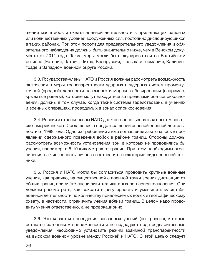шении масштабов и охвата военной деятельности в прилегающих районах или количественных уровней вооруженных сил, постоянно дислоцирующихся в таких районах. При этом пороги для предварительного уведомления и обязательного наблюдения должны быть значительно ниже, чем в Венском документе от 2011 года. Такие меры могли бы фокусироваться на Балтийском регионе (Эстония, Латвия, Литва, Белоруссия, Польша и Германия), Калининграде и Западном военном округе России.

3.3. Государства-члены НАТО и Россия должны рассмотреть возможность включения в меры транспарентности ударных неядерных систем промежуточной (средней) дальности наземного и морского базирования (например, крылатые ракеты), которые могут находиться за пределами зон соприкосновения, должны в том случае, когда такие системы задействованы в учениях и военных операциях, проводимых в зонах соприкосновения.

3.4. Россия и страны-члены НАТО должны воспользоваться опытом советско-американского Соглашения о предотвращении опасной военной деятельности от 1989 года. Одно из требований этого соглашения заключалось в проявлении сдержанного поведения войск в районе границ. Стороны должны рассмотреть возможность установления зон, в которых не проводились бы учения, например, в 5-10 километрах от границ. При этом необходимы ограничения на численность личного состава и на некоторые виды военной техники.

3.5. Россия и НАТО могли бы согласиться проводить крупные военные учения, как правило, на существенной с военной точки зрения дистанции от общих границ при учёте специфики тех или иных зон соприкосновения. Они должны рассмотреть, как сократить регулярность и уменьшить масштабы военной деятельности по количеству привлекаемых войск и географическому охвату, в частности, ограничить учения вблизи границ. В целом надо проводить учения ответственно, а не провокационно.

3.6. Что касается проведения внезапных учений (по тревоге), которые остаются источником напряженности и не подпадают под предварительные уведомления, необходимо установить режим взаимной транспарентности на высоком военном уровне между Россией и НАТО. С этой целью следует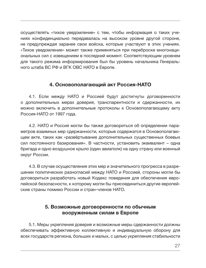осуществлять «тихое уведомление» с тем, чтобы информация о таких учениях конфиденциально передавалась на высоком уровне другой стороне, не предупреждая заранее свои войска, которые участвуют в этих учениях. «Тихое уведомление» может также применяться при переброске многонациональных сил с извещением в последний момент. Соответствующим уровнем для такого режима информирования был бы уровень начальника Генерального штаба ВС РФ и ВГК ОВС НАТО в Европе.

### 4. Основополагающий акт Россия-НАТО

4.1. Если между НАТО и Россией будут достигнуты договоренности о дополнительных мерах доверия, транспарентности и сдержанности, их можно включить в дополнительные протоколы к Основополагающему акту Россия-НАТО от 1997 года.

4.2. НАТО и Россия могли бы также договориться об определении параметров взаимных мер сдержанности, которые содержатся в Основополагающем акте, таких как «развёртывание дополнительных существенных боевых сил постоянного базирования». В частности, установить эквивалент – одна бригада и одно воздушное крыло (один авиаполк) на одну страну или военный округ России.

4.3. В случае осуществления этих мер и значительного прогресса в разрешении политических разногласий между НАТО и Россией, стороны могли бы договориться разработать новый Кодекс поведения для обеспечения европейской безопасности, к которому могли бы присоединиться другие европейские страны помимо России и стран-членов НАТО.

### 5. Возможные договоренности по обычным вооруженным силам в Европе

5.1. Меры укрепления доверия и возможные меры сдержанности должны обеспечивать эффективную коллективную и индивидуальную оборону для всех государств региона, больших и малых, с целью укрепления стабильности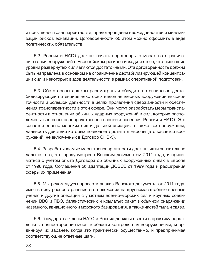и повышения транспарентности, предотвращения неожиданностей и минимизации рисков эскалации. Договоренности об этом можно оформить в виде политических обязательств.

5.2. Россия и НАТО должны начать переговоры о мерах по ограничению гонки вооружений в Европейском регионе исходя из того, что нынешние уровни развернутых сил являются достаточными. Эта договоренность должна быть направлена в основном на ограничение дестабилизирующей концентрации сил и некоторых видов деятельности в рамках оперативной подготовки.

5.3. Обе стороны должны рассмотреть и обсудить потенциально дестабилизирующий потенциал некоторых видов неядерных вооружений высокой точности и большой дальности в целях проявления сдержанности и обеспечения транспарентности в этой сфере. Они могут разработать меры транспарентности в отношении обычных ударных вооружений и сил, которые расположены вне зоны непосредственного соприкосновения России и НАТО. Это касается военно-морских сил и дальней авиации, а также тех вооружений, дальность действия которых позволяет достигать Европы (это касается вооружений, не включенных в Договор СНВ-3).

5.4. Разрабатываемые меры транспарентности должны идти значительно дальше того, что предусмотрено Венским документом 2011 года, и приниматься с учетом опыта Договора об обычных вооруженных силах в Европе от 1990 года, Соглашения об адаптации ДОВСЕ от 1999 года и расширения сферы их применения.

5.5. Мы рекомендуем провести анализ Венского документа от 2011 года, имея в виду распространение его положений на крупномасштабные военные учения и другие операции с участием военно-морских сил и крупных соединений ВВС и ПВО, баллистических и крылатых ракет в обычном снаряжении наземного, авиационного и морского базирования, а также частей тыла и связи.

5.6. Государства-члены НАТО и Россия должны ввести в практику параллельные односторонние меры в области контроля над вооружениями, координируя их заранее, когда это практически осуществимо, и предпринимая соответствующие ответные шаги.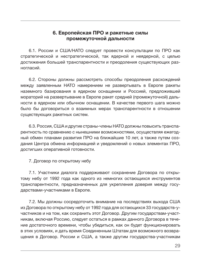### 6. Европейская ПРО и ракетные силы промежуточной дальности

6.1. России и США/НАТО следует провести консультации по ПРО как стратегической и нестратегической, так ядерной и неядерной, с целью достижения большей транспарентности и преодоления существующих разногласий.

6.2. Стороны должны рассмотреть способы преодоления раcхождений между заявленным НАТО намерением не развертывать в Европе ракеты наземного базирования в ядерном оснащении и Россией, предложившей мораторий на развертывание в Европе ракет средней (промежуточной) дальности в ядерном или обычном оснащении. В качестве первого шага можно было бы договориться о взаимных мерах транспарентности в отношении существующих ракетных систем.

6.3. Россия, США и другие страны-члены НАТО должны повысить транспарентность по сравнению с нынешними возможностями, осуществляя ежегодный обмен планами развития ПРО на ближайшие 10 лет, а также путем создания Центра обмена информацией и уведомлений о новых элементах ПРО, достигших оперативной готовности.

7. Договор по открытому небу

7.1. Участники диалога поддерживают сохранение Договора по открытому небу от 1992 года как одного из немногих остающихся инструментов транспарентности, предназначенных для укрепления доверия между государствами-участниками в Европе.

7.2. Мы должны сосредоточить внимание на последствиях выхода США из Договора по открытому небу от 1992 года для остающихся 33 государств-участников и на том, как сохранить этот Договор. Другим государствам-участникам, включая Россию, следует остаться в рамках данного Договора в течение достаточного времени, чтобы убедиться, как он будет функционировать в этих условиях, и дать время Соединенным Штатам для возможного возвращения в Договор. России и США, а также другим государства-участникам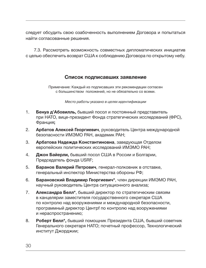следует обсудить свою озабоченность выполнением Договора и попытаться найти согласованные решения.

7.3. Рассмотреть возможность совместных дипломатических инициатив с целью обеспечить возврат США к соблюдению Договора по открытому небу.

### Список подписавших заявление

Примечание: Каждый из подписавших эти рекомендации согласен с большинством положений, но не обязательно со всеми.

Место работы указано в целях идентификации

- 1. Бенуа д'Абовилль, бывший посол и постоянный представитель при НАТО, вице-президент Фонда стратегических исследований (ФРС), Франция;
- 2. Арбатов Алексей Георгиевич, руководитель Центра международной безопасности ИМЭМО РАН, академик РАН;
- 3. Арбатова Надежда Константиновна, заведующая Отделом европейских политических исследований ИМЭМО РАН;
- 4. Джон Байерли, бывший посол США в России и Болгарии, Председатель фонда USRF;
- 5. Баранов Валерий Петрович, генерал-полковник в отставке, генеральный инспектор Министерства обороны РФ;
- 6. Барановский Владимир Георгиевич\*, член дирекции ИМЭМО РАН, научный руководитель Центра ситуационного анализа;
- 7. Александра Белл\*, бывший директор по стратегическим связям в канцелярии заместителя государственного секретаря США по контролю над вооружениями и международной безопасности, программный директор Центрf по контролю над вооружениями и нераспространению;
- 8. Роберт Белл\*, бывший помощник Президента США, бывший советник Генерального секретаря НАТО; почетный профессор, Технологический институт Джорджии;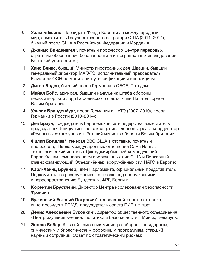- 9. Уильям Бернс, Президент Фонда Карнеги за международный мир, заместитель Государственного секретаря США (2011–2014), бывший посол США в Российской Федерации и Иордании;
- 10. Джеймс Бинденагел\*, почетный профессор Центра передовых стратегий обеспечения безопасности и интеграционных исследований, Боннский университет;
- 11. Ханс Бликс, бывший Министр иностранных дел Швеции, бывший генеральный директор МАГАТЭ, исполнительный председатель Комиссии ООН по мониторингу, верификации и инспекциям;
- 12. Дитер Боден, бывший посол Германии в ОБСЕ, Потсдам;
- 13. Майкл Бойс, адмирал, бывший начальник штаба обороны, первый морской лорд Королевского флота; член Палаты лордов Великобритании
- 14. Ульрих Бранденбург, посол Германии в НАТО (2007–2010), посол Германии в России (2010–2014);
- 15. Дез Браун, председатель Европейской сети лидерства, заместитель председателя Инициативы по сокращению ядерной угрозы, координатор «Группы высокого уровня», бывший министр обороны Великобритании;
- 16. Филип Бридлав\*, генерал ВВС США в отставке, почетный профессор, Школа международных отношений Сэма Нанна, Технологический институт Джорджии; бывший командующий Европейским командованием вооружённых сил США и Верховный главнокомандующий Объединённых вооружённых сил НАТО в Европе;
- 17. Карл-Хайнц Бруннер, член Парламента, официальный представитель Подкомитета по разоружению, контролю над вооружениями и нераспространению Бундестага ФРГ, Берлин;
- 18. Корентин Брустлейн, Директор Центра исследований безопасности, Франция
- 19. Бужинский Евгений Петрович\*, генерал-лейтенант в отставке, вице-президент РСМД, председатель совета ПИР-центра;
- 20. Денис Алексеевич Буконкин\*, директор общественного объединения «Центр изучения внешней политики и безопасности», Минск, Беларусь;
- 21. Эндрю Вебер, бывший помощник министра обороны по ядерным, химическим и биологическим оборонным программам, старший научный сотрудник, Совет по стратегическим рискам;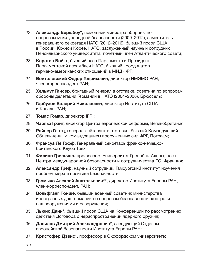- 22. Александр Вершбоу\*, помощник министра обороны по вопросам международной безопасности (2009–2012), заместитель генерального секретаря НАТО (2012–2016), бывший посол США в России, Южной Корее, НАТО, заслуженный научный сотрудник Пенсильванского университета; почетный член Атлантического совета;
- 23. Карстен Войгт, бывший член Парламента и Президент Парламентской ассамблеи НАТО, бывший координатор германо-американских отношений в МИД ФРГ;
- 24. Войтоловский Федор Генрихович, директор ИМЭМО РАН, член-корреспондент РАН;
- 25. Хельмут Гансер, бригадный генерал в отставке, советник по вопросам обороны делегации Германии в НАТО (2004–2008), Брюссель;
- 26. Гарбузов Валерий Николаевич, директор Института США и Канады РАН;
- 27. Томас Гомар, директор IFRI;
- 28. Чарльз Грант, директор Центра европейской реформы, Великобритания;
- 29. Райнер Глатц, генерал-лейтенант в отставке, бывший Командующий Объединенным командованием вооруженных сил ФРГ, Потсдам;
- 30. Франсуа Ле Гофф, Генеральный секретарь франко-немецкобританского Клуба Трёх;
- 31. Филипп Гресьяно, профессор, Университет Гренобль-Альпы, член Центра международной безопасности и сотрудничества ЕС, Франция;
- 32. Александр Греф, научный сотрудник, Гамбургский институт изучения проблем мира и политики безопасности;
- 33. Громыко Алексей Анатольевич\*\*, директор Института Европы РАН, член-корреспондент, РАН;
- 34. Вольфганг Гюнше, бывший военный советник министерства иностранных дел Германии по вопросам безопасности, контроля над вооружениями и разоружения;
- 35. Льюис Данн\*, бывший посол США на Конференции по рассмотрению действия Договора о нераспространении ядерного оружия;
- 36. Данилов Дмитрий Александрович\*, заведующий Отделом европейской безопасности Института Европы РАН;
- 37. Кристофер Дэвис\*, профессор в Оксфордском университете;

32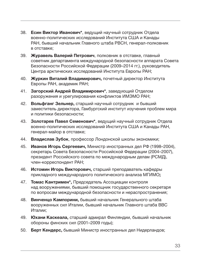- 38. Есин Виктор Иванович\*, ведущий научный сотрудник Отдела военно-политических исследований Института США и Канады РАН, бывший начальник Главного штаба РВСН, генерал-полковник в отставке;
- 39. Журавель Валерий Петрович, полковник в отставке, главный советник департамента международной безопасности аппарата Совета Безопасности Российской Федерации (2009–2014 гг.), руководитель Центра арктических исследований Института Европы РАН;
- 40. Журкин Виталий Владимирович, почетный директор Института Европы РАН, академик РАН;
- 41. Загорский Андрей Владимирович\*, заведующий Отделом разоружения и урегулирования конфликтов ИМЭМО РАН;
- 42. Вольфганг Зельнер, старший научный сотрудник и бывший заместитель директора, Гамбургский институт изучения проблем мира и политики безопасности;
- 43. Золотарев Павел Семенович\*, ведущий научный сотрудник Отдела военно-политических исследований Института США и Канады РАН, генерал-майор в отставке;
- 44. Владислав Зубок, профессор Лондонской школы экономики;
- 45. Иванов Игорь Сергеевич, Министр иностранных дел РФ (1998–2004), секретарь Совета Безопасности Российской Федерации (2004–2007), президент Российского совета по международным делам (РСМД), член-корреспондент РАН;
- 46. Истомин Игорь Викторович, старший преподаватель кафедры прикладного международного политического анализа МГИМО;
- 47. Томас Кантримен\*, Председатель Ассоциации контроля над вооружениями, бывший помощник государственного секретаря по вопросам международной безопасности и нераспространения;
- 48. Винченцо Кампорини, бывший начальник Генерального штаба вооруженных сил Италии, бывший начальник Главного штаба ВВС Италии;
- 49. Юхани Каскеала, старший адмирал Финляндии, бывший начальник обороны финских сил (2001–2009 годы);
- 50. Берт Кендерс, бывший Министр иностранных дел Нидерландов;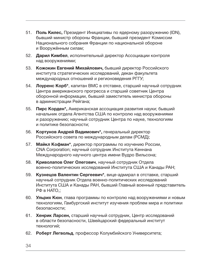- 51. Поль Килес, Президент Инициативы по ядерному разоружению (IDN), бывший министр обороны Франции, бывший президент Комиссии Национального собрания Франции по национальной обороне и Вооружённым силам;
- 52. Дарил Кимбел, исполнительный директор Ассоциации контроля над вооружениями;
- 53. Кожокин Евгений Михайлович, бывший директор Российского института стратегических исследований, декан факультета международных отношений и регионоведения РГГУ;
- 54. Лоуренс Корб\*, капитан ВМС в отставке, старший научный сотрудник Центра американского прогресса и старший советник Центра оборонной информации, бывший заместитель министра обороны в администрации Рейгана;
- 55. Пирс Корден\*, Американская ассоциация развития науки; бывший начальник отдела Агентства США по контролю над вооружениями и разоружению; научный сотрудник Центра по науке, технологиям и политике безопасности;
- 56. Кортунов Андрей Вадимович\*, генеральный директор Российского совета по международным делам (РСМД);
- 57. Майкл Кофман\*, директор программы по изучению России, CNA Corporation; научный сотрудник Института Кеннана Международного научного центра имени Вудро Вильсона;
- 58. Криволапов Олег Олегович, научный сотрудник Отдела военно-политических исследований Института США и Канады РАН;
- 59. Кузнецов Валентин Сергеевич\*, вице-адмирал в отставке, старший научный сотрудник Отдела военно-политических исследований Института США и Канады РАН, бывший Главный военный представитель РФ в НАТО,;
- 60. Ульрих Кюн, глава программы по контролю над вооружениями и новым технологиям, Гамбургский институт изучения проблем мира и политики безопасности;
- 61. Хенрик Ларсен, старший научный сотрудник, Центр исследований в области безопасности, Швейцарский федеральный институт технологий;
- 62. Роберт Легвольд, профессор Колумбийского Университета;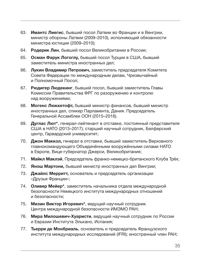- 63. Имантс Лиегис, бывший посол Латвии во Франции и в Венгрии, министр обороны Латвии (2009–2010), исполняющий обязанности министра юстиции (2009–2010);
- 64. Родерик Лин, бывший посол Великобритании в России;
- 65. Осман Фарук Логоглу, бывший посол Турции в США, бывший заместитель министра иностранных дел;
- 66. Лукин Владимир Петрович, заместитель председателя Комитета Совета Федерации по международным делам, Чрезвычайный и Полномочный Посол;
- 67. Рюдигер Людекинг, бывший посол, бывший заместитель Главы Комиссии Правительства ФРГ по разоружению и контролю над вооружениями;
- 68. Могенс Люккетофт, бывший министр финансов, бывший министр иностранных дел, спикер Парламента, Дания. Председатель Генеральной Ассамблеи ООН (2015–2016).
- 69. Дуглас Лют\*, генерал-лейтенант в отставке, постоянный представителя США в НАТО (2013–2017); старший научный сотрудник, Белферский центр, Гарвардский университет;
- 70. Джон Маккол, генерал в отставке, бывший заместитель Верховного главнокомандующего Объединёнными вооружёнными силами НАТО в Европе, Вице-губернатор Джерси, Великобритания;
- 71. Майкл Маклэй, Председатель франко-немецко-британского Клуба Трёх;
- 72. Янош Мартони, бывший министр иностранных дел Венгрии;
- 73. Джайлс Мерритт, основатель и председатель организации «Друзья Франции»;
- 74. Оливер Мейер\*, заместитель начальника отдела международной безопасности Немецкого института международных отношений и безопасности;
- 75. Мизин Виктор Игоревич\*, ведущий научный сотрудник Центра международной безопасности ИМЭМО РАН;
- 76. Мира Милошевич-Хуаристи, ведущий научный сотрудник по России и Евразии Института Элькано, Испания;
- 77. Тьерри де Монбриаль, основатель и председатель Французского института международных исследований (IFRI); иностранный член РАН;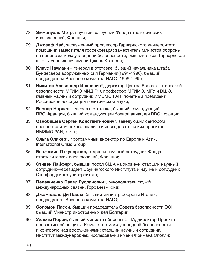- 78. Эммануэль Мэтр, научный сотрудник Фонда стратегических исследований, Франция;
- 79. Джозеф Най, заслуженный профессор Гарвардского университета; помощник заместителя госсекретаря; заместитель министра обороны по вопросам международной безопасности; бывший декан Гарвардской школы управления имени Джона Кеннеди;
- 80. Клаус Науманн генерал в отставке, бывший начальника штаба Бундесвера вооруженных сил Германии(1991-1996), бывший председателя Военного комитета НАТО (1996-1999);
- 81. Никитин Александр Иванович\*, директор Центра Евроатлантической безопасности МГИМО МИД РФ, профессор МГИМО, МГУ и ВШЭ, главный научный сотрудник ИМЭМО РАН, почетный президент Российской ассоциации политической науки;
- 82. Бернар Норлен, генерал в отставке, бывший командующий ПВО Франции, бывший командующий боевой авиацией ВВС Франции;
- 83. Ознобищев Сергей Константинович\*, заведующий сектором военно-политического анализа и исследовательских проектов ИМЭМО РАН, к.и.н.;
- 84. Ольга Оликер\*, программный директор по Европе и Азии, International Crisis Group;
- 85. Бенжамин Откувертюр, старший научный сотрудник Фонда стратегических исследований, Франция;
- 86. Стивен Пайфер\*, бывший посол США на Украине, старший научный сотрудник-нерезидент Брукингсского Института и научный сотрудник Стэнфордского университета;
- 87. Палажченко Павел Русланович\*, руководитель службы международных связей, Горбачев-Фонд;
- 88. Джампаоло Ди Паола, бывший министр обороны Италии, председатель Военного комитета НАТО;
- 89. Соломон Пасси, бывший председатель Совета безопасности ООН, бывший Министр иностранных дел Болгарии;
- 90. Уильям Перри, бывший министр обороны США, директор Проекта превентивной защиты, Комитет по международной безопасности и контролю над вооружениями; старший научный сотрудник, Институт международных исследований имени Фримана Сполли;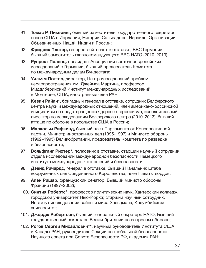- 91. Томас Р. Пикеринг, бывший заместитель государственного секретаря, посол США в Иордании, Нигерии, Сальвадоре, Израиле, Организации Объединенных Наций, Индии и России;
- 92. Фридрих Плегер, генерал-лейтенант в отставке, ВВС Германии, бывший заместитель главнокомандующего ВВС НАТО (2010–2013);
- 93. Рупрехт Поленц, президент Ассоциации восточноевропейских исследований в Германии, бывший председатель Комитета по международным делам Бундестага;
- 94. Уильям Поттер, директор, Центр исследований проблем нераспространения им. Джеймса Мартина, профессор, Миддлберийский Институт международных исследований в Монтерее, США; иностранный член РАН;
- 95. Кевин Райан\*, бригадный генерал в отставке, сотрудник Белферского центра науки и международных отношений, член американо-российской инициативы по предотвращению ядерного терроризма, исполнительный директор по исследованиям Белферского центра (2010–2013); бывший атташе по обороне в посольстве США в России;
- 96. Малкольм Рифкинд, бывший член Парламента от Консервативной партии, Министр иностранных дел (1995-1997) и Министр обороны (1992–1995) Великобритании, председатель Комитета по разведке и безопасности,
- 97. Вольфганг Рихтер\*, полковник в отставке, старший научный сотрудник отдела исследований международной безопасности Немецкого института международных отношений и безопасности;
- 98. Дэвид Ричардс, генерал в отставке, бывший Начальник штаба вооруженных сил Соединенного Королевства, член Палаты лордов;
- 99. Ален Ришар, французский сенатор; Бывший министр обороны Франции (1997–2002);
- 100. Синтия Робертс\*, профессор политических наук, Хантерский колледж, городской университет Нью-Йорка; старший научный сотрудник, Институт исследований войны и мира Зальцмана, Колумбийский университет;
- 101. Джордж Робертсон, бывший генеральный секретарь НАТО; Бывший государственный секретарь Великобритании по вопросам обороны;
- 102. Рогов Сергей Михайлович\*\*, научный руководитель Института США и Канады РАН, руководитель Секции по глобальной безопасности Научного совета при Совете Безопасности РФ, академик РАН;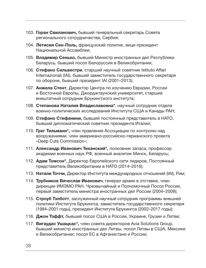- 103. Горан Свиланович, бывший генеральный секретарь Совета регионального сотрудничества, Сербия;
- 104. Летисия Сен-Поль, французский политик, вице-президент Национальной Ассамблеи;
- 105. Владимир Сенько, бывший Министр иностранных дел Республики Беларусь, бывший посол Белоруссии в Великобритании;
- 106. Стефано Сильвестри, старший научный советник Istituto Affari Internazionali (IAI), бывший заместитель государственного секретаря по обороне, бывший президент IAI (2001–2013);
- 107. Анжела Стент, Директор Центра по изучению Евразии, России и Восточной Европы, Джорджтаунский университет, старший внештатный сотрудник Брукингского института;
- 108. Степанова Наталия Владиславовна\*, научный сотрудник отдела военно-политических исследований Института США и Канады РАН;
- 109. Стефано Стефанини, бывший постоянный представитель в НАТО, бывший дипломатический советник президента Италии;
- 110. Грег Тильманн\*, член правления Ассоциации по контролю над вооружениями, член американо-российско-германского проекта «Deep Cuts Commission»;
- 111. Александр Иванович Тиханский\*, полковник запаса, профессор академии военных наук РФ, военный аналитик Минск, Беларусь;
- 112. Адам Томсон\*, Директор Европейского сети лидеров, Постоянный представитель Великобритании в НАТО (2014–2016);
- 113. Натали Точчи, Директор Института международных отношений (IAI), Рим;
- 114. Трубников Вячеслав Иванович, генерал армии в отставке, член дирекции ИМЭМО РАН, Чрезвычайный и Полномочный Посол России, первый заместитель министра иностранных дел России (2004–2009);
- 115. Строуб Тэлботт, заслуженный научный сотрудник программы внешней политики Института Брукингса, заместитель государственного секретаря (1994–2001 годы), президент Института Брукингса (2002–2017 годы);
- 116. Джон Тэффт, бывший посол США в России, Украине, Грузии и Литве;
- 117. Вигаудас Ушацкас\*, член совета директоров Avia Solutions Group, бывший министр иностранных дел Литвы, посол Литвы в США, Мексике и Великобритании; посол ЕС в Афганистане и России;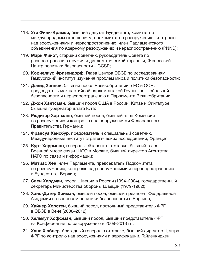- 118. Уте Финк-Крамер, бывший депутат Бундестага, комитет по международным отношениям, подкомитет по разоружению, контролю над вооружениями и нераспространению, член Парламентского объединения по ядерному разоружению и нераспространению (PNND);
- 119. Марк Фино\*, старший советник, руководитель Совета по распространению оружия и дипломатической торговли, Женевский Центр политики безопасности – GCSP;
- 120. Корнелиус Фризендорф, Глава Центра ОБСЕ по исследованиям, Гамбургский институт изучения проблем мира и политики безопасности;
- 121. Дэвид Ханней, бывший посол Великобритании в ЕС и ООН, председатель межпартийной парламентской Группы по глобальной безопасности и нераспространению в Парламенте Великобритании;
- 122. Джон Хантсман, бывший посол США в России, Китае и Сингапуре, бывший губернатор штата Юта;
- 123. Рюдигер Хартманн, бывший посол, бывший член Комиссии по разоружению и контролю над вооружениями Федерального Правительства Германии;
- 124. Франсуа Хейсбур, председатель и специальный советник, Международный институт стратегических исследований, Франция;
- 125. Курт Херрманн, генерал-лейтенант в отставке, бывший глава Военной мисси связи НАТО в Москве, бывший директор Агентства НАТО по связи и информации;
- 126. Матиас Хён, член Парламента, председатель Подкомитета по разоружению, контролю над вооружениями и нераспространению в Бундестаге, Берлин;
- 127. Свен Хирдман, посол Швеции в России (1994–2004), государственный секретарь Министерства обороны Швеции (1979-1982);
- 128. Ханс-Дитер Хойман, бывший посол, бывший президент Федеральной Академии по вопросам политики безопасности в Берлине;
- 129. Хайнер Хорстен, бывший посол, постоянный представитель ФРГ в ОБСЕ в Вене (2008–2012);
- 130. Хельмут Хоффман, бывший посол, бывший представитель ФРГ на Конференции по разоружению в 2009–2013 гг.;
- 131. Ханс Хюбнер, бригадный генерал в отставке, бывший директор Центра ФРГ по контролю над вооружениями и верификации, Гайленкирхен;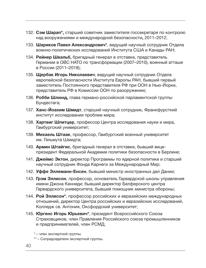- 132. Сэм Шарап\*, старший советник заместителя госсекретаря по контролю над вооружениями и международной безопасности, 2011–2012;
- 133. Шариков Павел Александрович\*, ведущий научный сотрудник Отдела военно-политических исследований Института США и Канады РАН;
- 134. Рейнер Швальб, бригадный генерал в отставке, представитель Германии в ОВС НАТО по трансформации (2007–2010), военный атташе в России (2011–2018);
- 135. Щербак Игорь Николаевич, ведущий научный сотрудник Отдела европейской безопасности Института Европы РАН, бывший первый заместитель Постоянного представителя РФ при ООН в Нью-Йорке, представитель РФ в Комиссии ООН по разоружению;
- 136. Робби Шлюнд, глава германо-российской парламентской группы Бундестага;
- 137. Ханс-Йоахим Шмидт, старший научный сотрудник, Франкфурсткий институт исследования проблем мира;
- 138. Хартвиг Шпитцер, профессор Центра исследования науки и мира, Гамбургский университет;
- 139. Михаель Штаак, профессор, Гамбургский военный университет им. Гельмута Шмидта;
- 140. Армин Штайгис, бригадный генерал в отставке, бывший вицепрезидент Федеральной Академии политики безопасности в Берлине;
- 141. Джеймс Эктон, директор Программы по ядерной политике и старший научный сотрудник Фонда Карнеги за Международный Мир;
- 142. Уффе Эллеманн-Енсен, бывший министр иностранных дел Дании;
- 143. Грэм Эллисон, профессор, основатель Гарвардской школы управления имени Джона Кеннеди; бывший директор Белферского центра Гарвардского университета, бывший помощник министра обороны;
- 144. Рой Эллисон\*, профессор российских и евразийских международных отношений, директор Центра российских и евразийских исследований, Колледж св. Антония, Оксфордский университет;
- 145. Юргенс Игорь Юрьевич\*, президент Всероссийского Союза Страховщиков, член Правления Российского союза промышленников и предпринимателей, член РСМД.

\* – член экспертной группы.

<sup>\*\* –</sup> Сопредседатели экспертной группы.